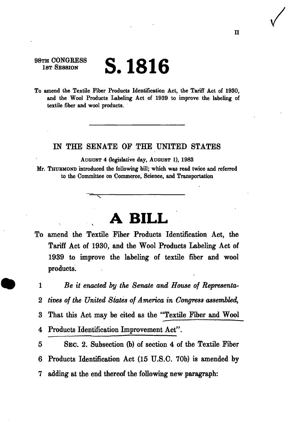## **S. 1816**

98TH CONGRESS 1ST SESSION

To amend the Textile Fiber Products Identification Act, the Tariff Act of 1930, and the Wool Products Labeling Act of 1939 to improve the labeling of textile fiber and wool products.

## IN THE SENATE OF THE UNITED STATES

AUGUST 4 (legislative day, AUGUST 1), 1983

Mr. THURMOND introduced the following bill; which was read twice and referred to the Committee on Commerce, Science, and Transportation

## **A BILL**

To amend the Textile Fiber Products Identification Act, the Tariff Act of 1930, and the Wool Products Labeling Act of 1939 to improve the labeling of textile fiber and wool products.

1 *Be it enacted by the Senate and House of Representa-*2 *tives of the United States of America in Congress assembled,*  3 That this Act may be cited as the "Textile Fiber and Wool 4 Products Identification Improvement Act".

5 SEC. 2. Subsection (b) of section 4 of the Textile Fiber 6 Products Identification Act (15 U.S.C. 70b) is amended by 7 adding at the end thereof the following new paragraph: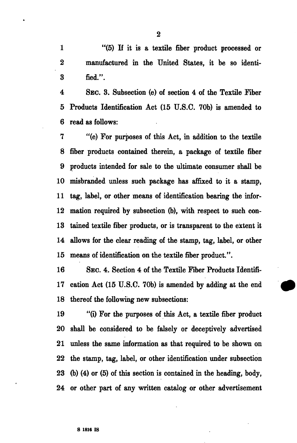1 "(5) If it is a textile fiber product processed or 2 manufactured in the United States, it be so identi-3 fied.".

4 SEC. 3. Subsection (e) of section 4 of the Textile Fiber 5 Products Identification Act (15 U.S.C. 70b) is amended to 6 read as follows:

7 "(e) For purposes of this Act, in addition to the textile 8 fiber products contained therein, a package of textile fiber 9 products intended for sale to the ultimate consumer shall be 10 misbranded unless such package has affixed to it a stamp, 11 tag, label, or other means of identification bearing the infor-12 mation required by subsection (b), with respect to such con-13 tained textile fiber products, or is transparent to the extent it 14 allows for the clear reading of the stamp, tag, label, or other 15 means of identification on the textile fiber product.".

16 SEC. 4. Section 4 of the Textile Fiber Products Identifi-17 cation Act (15 U.S.C. 70b) is amended by adding at the end 18 thereof the following new subsections:

19 "(i) For the purposes of this Act, a textile fiber product 20 shall be considered to be falsely or deceptively advertised 21 unless the same information as that required to be shown on 22 the stamp, tag, label, or other identification under subsection 23 (b) (4) or (5) of this section is contained in the heading, body, 24 or other part of any written catalog or other advertisement

2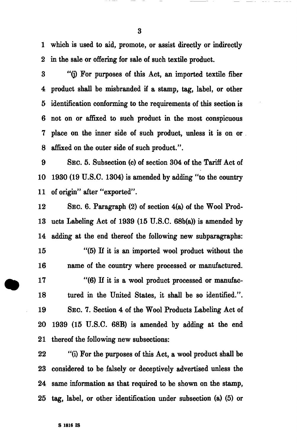1 which is used to aid, promote, or assist directly or indirectly 2 in the sale or offering for sale of such textile product.

3 "(j) For purposes of this Act, an imported textile fiber 4 product shall be misbranded if a stamp, tag, label, or other 5 identification conforming to the requirements of this section is 6 not on or affixed to such product in the most conspicuous 7 place on the inner side of such product, unless it is on or 8 affixed on the outer side of such product.".

9 SEC. 5. Subsection (c) of section 304 of the Tariff Act of 10 1930 (19 U.S.C. 1304) is amended by adding "to the country 11 of origin'' after "exported''.

12 SEC. 6. Paragraph (2) of section 4(a) of the Wool Prod-13 ucts Labeling Act of 1939 (15 U.S.C. 68b(a)) is amended by 14 adding at the end thereof the following new subparagraphs: 15 "(5) If it is an imported wool product without the 16 name of the country where processed or manufactured. 17 "(6) If it is a wool product processed or manufac-18 tured in the United States, it shall be so identified.". 19 SEC. 7. Section 4 of the Wool Products Labeling Act of 20 1939 (15 U.S.C. 68B) is amended by adding at the end 21 thereof the following new subsections:

22 "(i) For the purposes of this Act, a wool product shall be 23 considered to be falsely or deceptively advertised unless the 24 same information as that required to be shown on the stamp, 25 tag, label, or other identification under subsection (a) (5) or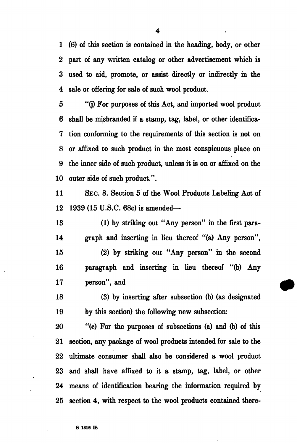1 (6) of this section is contained in the heading, body, or other 2 part of any written catalog or other advertisement which is 3 used to aid, promote, or assist directly or indirectly in the 4 sale or offering for sale of such wool product.

5 "(j) For purposes of this Act, and imported wool product 6 shall be misbranded if a stamp, tag, label, or other identifica-7 tion conforming to the requirements of this section is not on 8 or affixed to such product in the most conspicuous place on 9 the inner side of such product, unless it is on or affixed on the 10 outer side of such product.".

11 SEC. 8. Section 5 of the Wool Products Labeling Act of 12 1939 (15 U.S.C. 68c) is amended—

13 (1) by striking out "Any person" in the first para-14 graph and inserting in lieu thereof "(a) Any person",

15 (2) by striking out "Any person" in the second 16 paragraph and inserting in lieu thereof "(b) Any 17 person", and

18 (3) by inserting after subsection (b) (as designated 19 by this section) the following new subsection:

20 "(c) For the purposes of subsections (a) and (b) of this 21 section, any package of wool products intended for sale to the 22 ultimate consumer shall also be considered a wool product 23 and shall have affixed to it a stamp, tag, label, or other 24 means of identification bearing the information required by 25 section 4, with respect to the wool products contained there